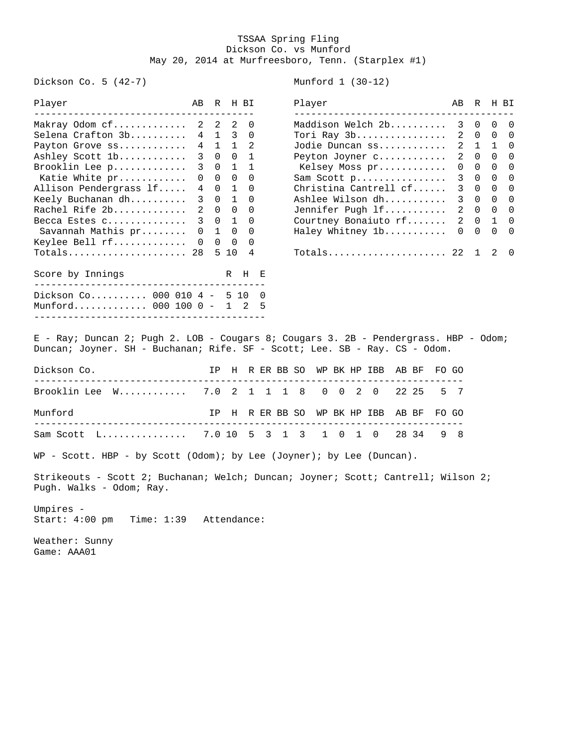## TSSAA Spring Fling Dickson Co. vs Munford May 20, 2014 at Murfreesboro, Tenn. (Starplex #1)

Dickson Co. 5 (42-7) Munford 1 (30-12)

| Player<br>------------------------                                                                                                                                                                                                                                             | AB R H BI                                                                              |                                      |                                                                                                  |                                                                                                                                                              |   | Player                                                                                                                                                                                                                         |                    |  |       |   | AВ                                                            | R                                                                                                                                                     | H BI                                              |                                                                    |
|--------------------------------------------------------------------------------------------------------------------------------------------------------------------------------------------------------------------------------------------------------------------------------|----------------------------------------------------------------------------------------|--------------------------------------|--------------------------------------------------------------------------------------------------|--------------------------------------------------------------------------------------------------------------------------------------------------------------|---|--------------------------------------------------------------------------------------------------------------------------------------------------------------------------------------------------------------------------------|--------------------|--|-------|---|---------------------------------------------------------------|-------------------------------------------------------------------------------------------------------------------------------------------------------|---------------------------------------------------|--------------------------------------------------------------------|
| Makray Odom cf 2<br>Selena Crafton 3b<br>Payton Grove ss<br>Ashley Scott 1b<br>Brooklin Lee p<br>Katie White pr<br>Allison Pendergrass lf<br>Keely Buchanan $dh$<br>Rachel Rife 2b<br>Becca Estes c<br>Savannah Mathis pr<br>Keylee Bell rf<br>$Totals$ 28<br>Score by Innings | $4\phantom{0}$<br>$4\overline{ }$<br>3<br>3<br>0<br>4<br>3<br>$\overline{2}$<br>0<br>0 | 2<br>$0\quad 0$<br>$\Omega$<br>3 0 1 | $\overline{2}$<br>$0\quad 1$<br>$\overline{1}$<br>$0\quad 1$<br>1 0<br>$0\quad 0$<br>5 10<br>R H | 0<br>$1 \quad 3 \quad 0$<br>$1\quad 1\quad 2$<br>$0 \quad 0 \quad 1$<br>1<br>0<br>$\Omega$<br>$\mathbf 0$<br>$0\quad 0\quad 0$<br>0<br>$\mathbf 0$<br>0<br>4 | E | Maddison Welch 2b<br>Tori Ray 3b<br>Jodie Duncan ss<br>Peyton Joyner c<br>Kelsey Moss pr<br>Sam Scott p<br>Christina Cantrell cf<br>Ashlee Wilson dh<br>Jennifer Pugh lf<br>Courtney Bonaiuto rf<br>Haley Whitney 1b<br>Totals |                    |  |       |   | 3<br>$\overline{2}$<br>2<br>0<br>3<br>3<br>$\mathbf{3}$<br>22 | $\Omega$<br>$0\quad 0$<br>2 1 1<br>$0\quad 0$<br>$0\quad 0$<br>$0\quad 0$<br>$0\quad 0$<br>2 0 0<br>$2 \quad 0 \quad 1$<br>$0\quad 0$<br>$\mathbf{1}$ | $\mathbf{0}$<br>$0\quad 0$<br>$\overline{0}$<br>2 | 0<br>0<br>0<br>0<br>0<br>0<br>$\mathbf 0$<br>0<br>0<br>0<br>0<br>0 |
| Dickson Co 000 010 4 - 5 10 0                                                                                                                                                                                                                                                  |                                                                                        |                                      |                                                                                                  |                                                                                                                                                              |   |                                                                                                                                                                                                                                |                    |  |       |   |                                                               |                                                                                                                                                       |                                                   |                                                                    |
| Munford 000 100  0 - 1 2<br>E - Ray; Duncan 2; Pugh 2. LOB - Cougars 8; Cougars 3. 2B - Pendergrass. HBP - Odom;<br>Duncan; Joyner. SH - Buchanan; Rife. SF - Scott; Lee. SB - Ray. CS - Odom.                                                                                 |                                                                                        |                                      |                                                                                                  |                                                                                                                                                              | 5 |                                                                                                                                                                                                                                |                    |  |       |   |                                                               |                                                                                                                                                       |                                                   |                                                                    |
| Dickson Co.                                                                                                                                                                                                                                                                    |                                                                                        |                                      |                                                                                                  |                                                                                                                                                              |   | IP H R ER BB SO WP BK HP IBB AB BF                                                                                                                                                                                             |                    |  |       |   | FO GO                                                         |                                                                                                                                                       |                                                   |                                                                    |
| Brooklin Lee W 7.0 2 1 1 1                                                                                                                                                                                                                                                     |                                                                                        |                                      |                                                                                                  |                                                                                                                                                              |   | - 8                                                                                                                                                                                                                            | $0 \t 0 \t 2 \t 0$ |  | 22 25 | 5 | - 7                                                           |                                                                                                                                                       |                                                   |                                                                    |
| Munford<br>_________________________                                                                                                                                                                                                                                           |                                                                                        |                                      |                                                                                                  |                                                                                                                                                              |   | IP H R ER BB SO WP BK HP IBB AB BF                                                                                                                                                                                             |                    |  |       |   | FO GO                                                         |                                                                                                                                                       |                                                   |                                                                    |
| Sam Scott L 7.0 10 5 3 1 3 1 0 1 0                                                                                                                                                                                                                                             |                                                                                        |                                      |                                                                                                  |                                                                                                                                                              |   |                                                                                                                                                                                                                                |                    |  | 28 34 |   | 98                                                            |                                                                                                                                                       |                                                   |                                                                    |
| WP - Scott. HBP - by Scott (Odom); by Lee (Joyner); by Lee (Duncan).                                                                                                                                                                                                           |                                                                                        |                                      |                                                                                                  |                                                                                                                                                              |   |                                                                                                                                                                                                                                |                    |  |       |   |                                                               |                                                                                                                                                       |                                                   |                                                                    |
| Strikeouts - Scott 2; Buchanan; Welch; Duncan; Joyner; Scott; Cantrell; Wilson 2;<br>Pugh. Walks - Odom; Ray.                                                                                                                                                                  |                                                                                        |                                      |                                                                                                  |                                                                                                                                                              |   |                                                                                                                                                                                                                                |                    |  |       |   |                                                               |                                                                                                                                                       |                                                   |                                                                    |
| Umpires -<br>Start: 4:00 pm<br>Time: 1:39 Attendance:                                                                                                                                                                                                                          |                                                                                        |                                      |                                                                                                  |                                                                                                                                                              |   |                                                                                                                                                                                                                                |                    |  |       |   |                                                               |                                                                                                                                                       |                                                   |                                                                    |
| Weather: Sunny<br>Game: AAA01                                                                                                                                                                                                                                                  |                                                                                        |                                      |                                                                                                  |                                                                                                                                                              |   |                                                                                                                                                                                                                                |                    |  |       |   |                                                               |                                                                                                                                                       |                                                   |                                                                    |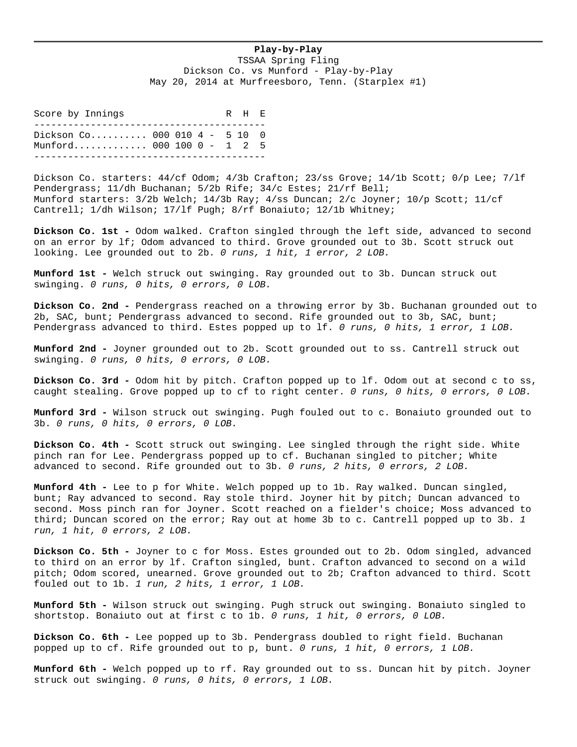## **Play-by-Play**

TSSAA Spring Fling Dickson Co. vs Munford - Play-by-Play May 20, 2014 at Murfreesboro, Tenn. (Starplex #1)

Score by Innings The R H E ----------------------------------------- Dickson Co.......... 000 010 4 - 5 10 0 Munford............. 000 100 0 - 1 2 5 -----------------------------------------

Dickson Co. starters:  $44/cf$  Odom;  $4/3b$  Crafton;  $23/ss$  Grove;  $14/1b$  Scott;  $0/p$  Lee;  $7/1f$ Pendergrass; 11/dh Buchanan; 5/2b Rife; 34/c Estes; 21/rf Bell; Munford starters: 3/2b Welch; 14/3b Ray; 4/ss Duncan; 2/c Joyner; 10/p Scott; 11/cf Cantrell; 1/dh Wilson; 17/lf Pugh; 8/rf Bonaiuto; 12/1b Whitney;

**Dickson Co. 1st -** Odom walked. Crafton singled through the left side, advanced to second on an error by lf; Odom advanced to third. Grove grounded out to 3b. Scott struck out looking. Lee grounded out to 2b. *0 runs, 1 hit, 1 error, 2 LOB.*

**Munford 1st -** Welch struck out swinging. Ray grounded out to 3b. Duncan struck out swinging. *0 runs, 0 hits, 0 errors, 0 LOB.*

**Dickson Co. 2nd -** Pendergrass reached on a throwing error by 3b. Buchanan grounded out to 2b, SAC, bunt; Pendergrass advanced to second. Rife grounded out to 3b, SAC, bunt; Pendergrass advanced to third. Estes popped up to lf. *0 runs, 0 hits, 1 error, 1 LOB.*

**Munford 2nd -** Joyner grounded out to 2b. Scott grounded out to ss. Cantrell struck out swinging. *0 runs, 0 hits, 0 errors, 0 LOB.*

**Dickson Co. 3rd -** Odom hit by pitch. Crafton popped up to lf. Odom out at second c to ss, caught stealing. Grove popped up to cf to right center. *0 runs, 0 hits, 0 errors, 0 LOB.*

**Munford 3rd -** Wilson struck out swinging. Pugh fouled out to c. Bonaiuto grounded out to 3b. *0 runs, 0 hits, 0 errors, 0 LOB.*

**Dickson Co. 4th -** Scott struck out swinging. Lee singled through the right side. White pinch ran for Lee. Pendergrass popped up to cf. Buchanan singled to pitcher; White advanced to second. Rife grounded out to 3b. *0 runs, 2 hits, 0 errors, 2 LOB.*

**Munford 4th -** Lee to p for White. Welch popped up to 1b. Ray walked. Duncan singled, bunt; Ray advanced to second. Ray stole third. Joyner hit by pitch; Duncan advanced to second. Moss pinch ran for Joyner. Scott reached on a fielder's choice; Moss advanced to third; Duncan scored on the error; Ray out at home 3b to c. Cantrell popped up to 3b. *1 run, 1 hit, 0 errors, 2 LOB.*

**Dickson Co. 5th -** Joyner to c for Moss. Estes grounded out to 2b. Odom singled, advanced to third on an error by lf. Crafton singled, bunt. Crafton advanced to second on a wild pitch; Odom scored, unearned. Grove grounded out to 2b; Crafton advanced to third. Scott fouled out to 1b. *1 run, 2 hits, 1 error, 1 LOB.*

**Munford 5th -** Wilson struck out swinging. Pugh struck out swinging. Bonaiuto singled to shortstop. Bonaiuto out at first c to 1b. *0 runs, 1 hit, 0 errors, 0 LOB.*

**Dickson Co. 6th -** Lee popped up to 3b. Pendergrass doubled to right field. Buchanan popped up to cf. Rife grounded out to p, bunt. *0 runs, 1 hit, 0 errors, 1 LOB.*

**Munford 6th -** Welch popped up to rf. Ray grounded out to ss. Duncan hit by pitch. Joyner struck out swinging. *0 runs, 0 hits, 0 errors, 1 LOB.*